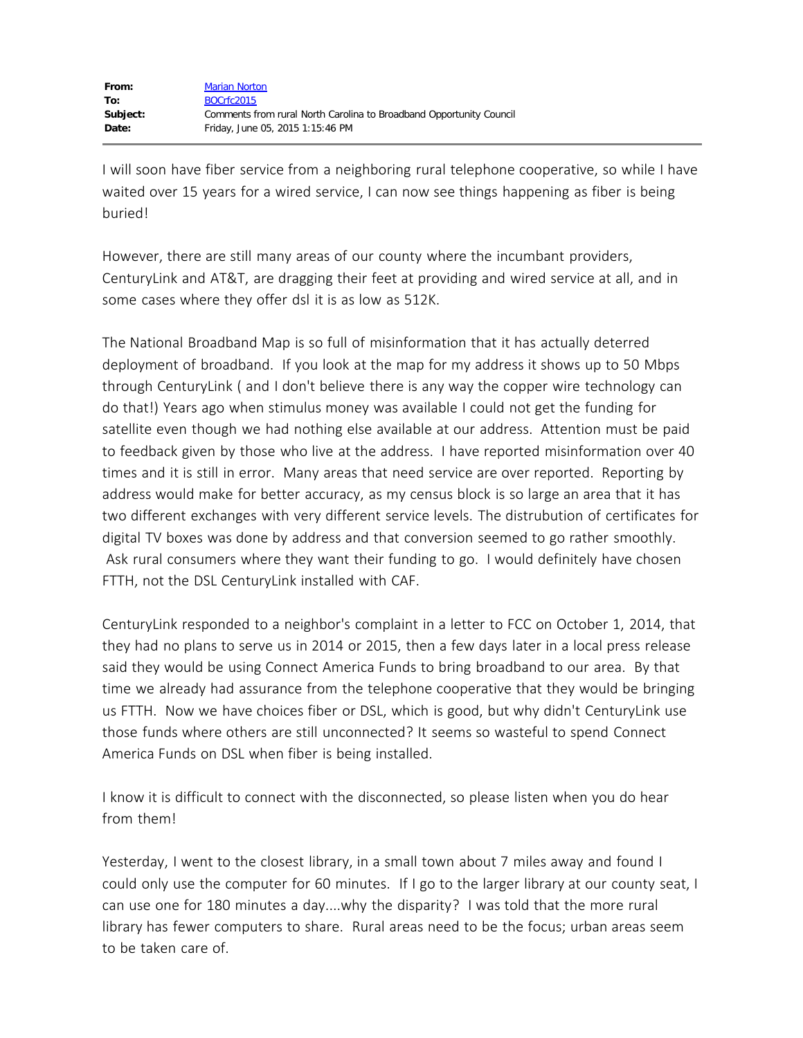| From:    | <b>Marian Norton</b>                                                |
|----------|---------------------------------------------------------------------|
| To:      | BOCrfc2015                                                          |
| Subject: | Comments from rural North Carolina to Broadband Opportunity Council |
| Date:    | Friday, June 05, 2015 1:15:46 PM                                    |

I will soon have fiber service from a neighboring rural telephone cooperative, so while I have waited over 15 years for a wired service, I can now see things happening as fiber is being buried!

However, there are still many areas of our county where the incumbant providers, CenturyLink and AT&T, are dragging their feet at providing and wired service at all, and in some cases where they offer dsl it is as low as 512K.

The National Broadband Map is so full of misinformation that it has actually deterred deployment of broadband. If you look at the map for my address it shows up to 50 Mbps through CenturyLink ( and I don't believe there is any way the copper wire technology can do that!) Years ago when stimulus money was available I could not get the funding for satellite even though we had nothing else available at our address. Attention must be paid to feedback given by those who live at the address. I have reported misinformation over 40 times and it is still in error. Many areas that need service are over reported. Reporting by address would make for better accuracy, as my census block is so large an area that it has two different exchanges with very different service levels. The distrubution of certificates for digital TV boxes was done by address and that conversion seemed to go rather smoothly. Ask rural consumers where they want their funding to go. I would definitely have chosen FTTH, not the DSL CenturyLink installed with CAF.

CenturyLink responded to a neighbor's complaint in a letter to FCC on October 1, 2014, that they had no plans to serve us in 2014 or 2015, then a few days later in a local press release said they would be using Connect America Funds to bring broadband to our area. By that time we already had assurance from the telephone cooperative that they would be bringing us FTTH. Now we have choices fiber or DSL, which is good, but why didn't CenturyLink use those funds where others are still unconnected? It seems so wasteful to spend Connect America Funds on DSL when fiber is being installed.

I know it is difficult to connect with the disconnected, so please listen when you do hear from them!

Yesterday, I went to the closest library, in a small town about 7 miles away and found I could only use the computer for 60 minutes. If I go to the larger library at our county seat, I can use one for 180 minutes a day....why the disparity? I was told that the more rural library has fewer computers to share. Rural areas need to be the focus; urban areas seem to be taken care of.